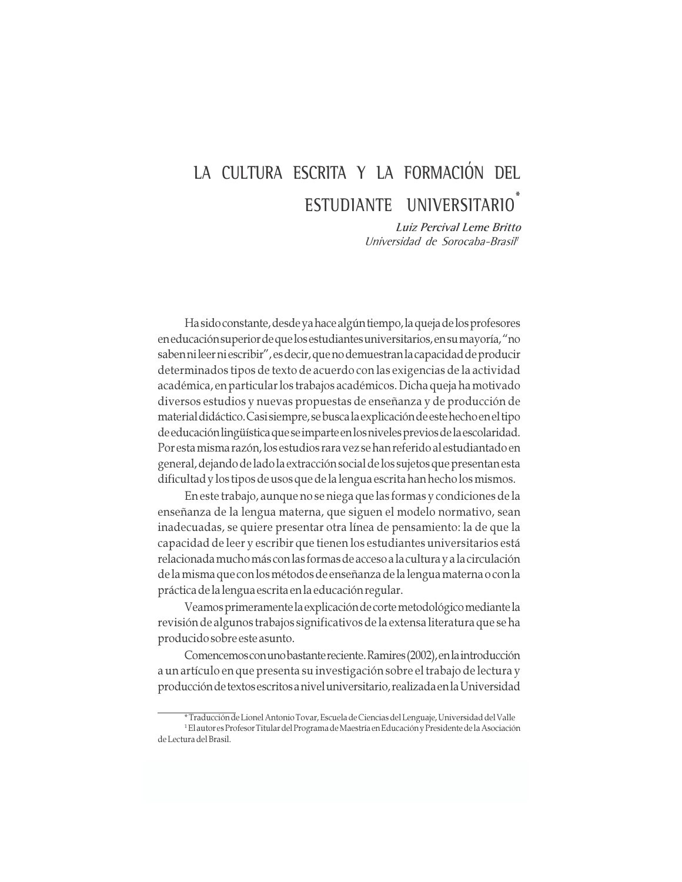# LA CULTURA ESCRITA Y LA FORMACIÓN DEL ESTUDIANTE UNIVERSITARIO

Luiz Percival Leme Britto Universidad de Sorocaba-Brasil<sup>i</sup>

Ha sido constante, desde ya hace algún tiempo, la queja de los profesores en educación superior de que los estudiantes universitarios, en su mayoría, "no saben ni leer ni escribir", es decir, que no demuestran la capacidad de producir determinados tipos de texto de acuerdo con las exigencias de la actividad académica, en particular los trabajos académicos. Dicha queja ha motivado diversos estudios y nuevas propuestas de enseñanza y de producción de material didáctico. Casi siempre, se busca la explicación de este hecho en el tipo de educación lingüística que se imparte en los niveles previos de la escolaridad. Por esta misma razón, los estudios rara vez se han referido al estudiantado en general, dejando de lado la extracción social de los sujetos que presentan esta dificultad y los tipos de usos que de la lengua escrita han hecho los mismos.

En este trabajo, aunque no se niega que las formas y condiciones de la enseñanza de la lengua materna, que siguen el modelo normativo, sean inadecuadas, se quiere presentar otra línea de pensamiento: la de que la capacidad de leer y escribir que tienen los estudiantes universitarios está relacionada mucho más con las formas de acceso a la cultura y a la circulación de la misma que con los métodos de enseñanza de la lengua materna o con la práctica de la lengua escrita en la educación regular.

Veamos primeramente la explicación de corte metodológico mediante la revisión de algunos trabajos significativos de la extensa literatura que se ha producido sobre este asunto.

Comencemos con uno bastante reciente. Ramires (2002), en la introducción a un artículo en que presenta su investigación sobre el trabajo de lectura y producción de textos escritos a nivel universitario, realizada en la Universidad

Traducción de Lionel Antonio Tovar, Escuela de Ciencias del Lenguaje, Universidad del Valle <sup>1</sup> El autor es Profesor Titular del Programa de Maestría en Educación y Presidente de la Asociación de Lectura del Brasil.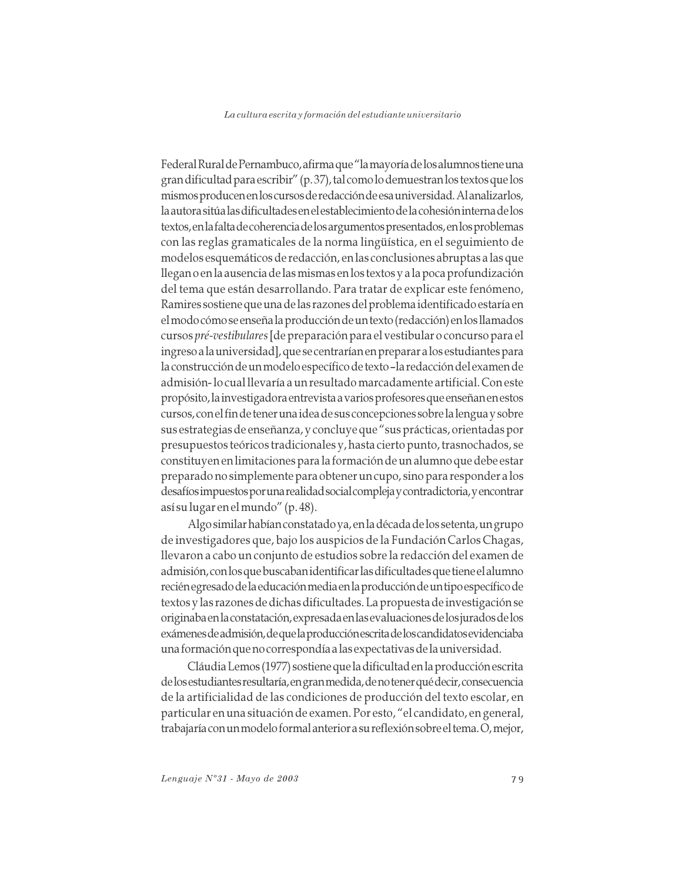Federal Rural de Pernambuco, afirma que "la mayoría de los alumnos tiene una gran dificultad para escribir" (p. 37), tal como lo demuestran los textos que los mismos producen en los cursos de redacción de esa universidad. Al analizarlos, la autora sitúa las dificultades en el establecimiento de la cohesión interna de los textos, en la falta de coherencia de los argumentos presentados, en los problemas con las reglas gramaticales de la norma lingüística, en el seguimiento de modelos esquemáticos de redacción, en las conclusiones abruptas a las que llegan o en la ausencia de las mismas en los textos y a la poca profundización del tema que están desarrollando. Para tratar de explicar este fenómeno, Ramires sostiene que una de las razones del problema identificado estaría en el modo cómo se enseña la producción de un texto (redacción) en los llamados cursos pré-vestibulares [de preparación para el vestibular o concurso para el ingreso a la universidad], que se centrarían en preparar a los estudiantes para la construcción de un modelo específico de texto-la redacción del examen de admisión- lo cual llevaría a un resultado marcadamente artificial. Con este propósito, la investigadora entrevista a varios profesores que enseñan en estos cursos, con el fin de tener una idea de sus concepciones sobre la lengua y sobre sus estrategias de enseñanza, y concluye que "sus prácticas, orientadas por presupuestos teóricos tradicionales y, hasta cierto punto, trasnochados, se constituyen en limitaciones para la formación de un alumno que debe estar preparado no simplemente para obtener un cupo, sino para responder a los desafíos impuestos por una realidad social compleja y contradictoria, y encontrar así su lugar en el mundo" (p. 48).

Algo similar habían constatado ya, en la década de los setenta, un grupo de investigadores que, bajo los auspicios de la Fundación Carlos Chagas, llevaron a cabo un conjunto de estudios sobre la redacción del examen de admisión, con los que buscaban identificar las dificultades que tiene el alumno recién egresado de la educación media en la producción de un tipo específico de textos y las razones de dichas dificultades. La propuesta de investigación se originaba en la constatación, expresada en las evaluaciones de los jurados de los exámenes de admisión, de que la producción escrita de los candidatos evidenciaba una formación que no correspondía a las expectativas de la universidad.

Cláudia Lemos (1977) sostiene que la dificultad en la producción escrita de los estudiantes resultaría, en gran medida, de no tener qué decir, consecuencia de la artificialidad de las condiciones de producción del texto escolar, en particular en una situación de examen. Por esto, "el candidato, en general, trabajaría con un modelo formal anterior a su reflexión sobre el tema. O, mejor,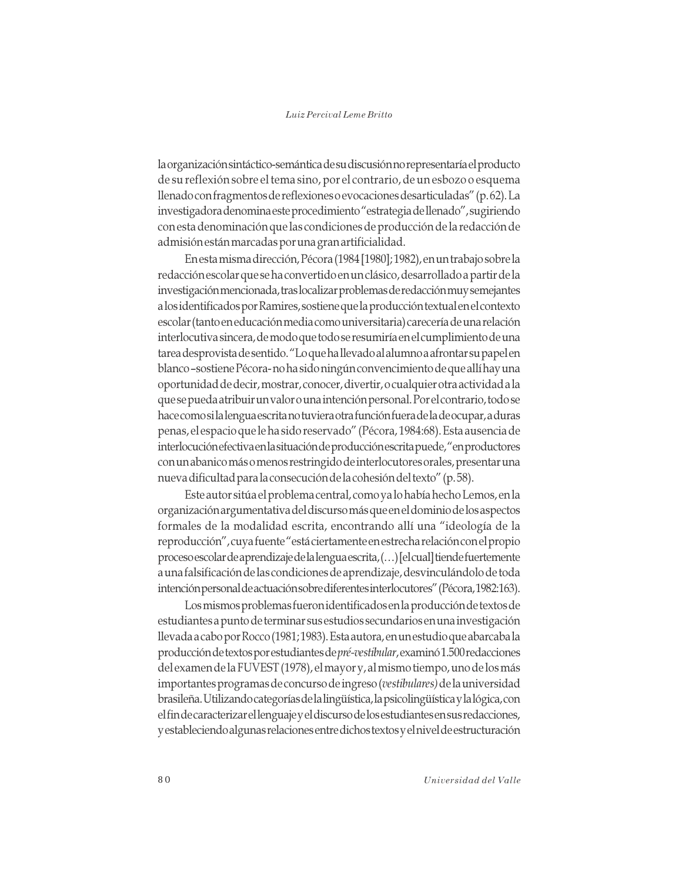la organización sintáctico-semántica de su discusión no representaría el producto de su reflexión sobre el tema sino, por el contrario, de un esbozo o esquema llenado con fragmentos de reflexiones o evocaciones desarticuladas" (p. 62). La investigadora denomina este procedimiento "estrategia de llenado", sugiriendo con esta denominación que las condiciones de producción de la redacción de admisión están marcadas por una gran artificialidad.

En esta misma dirección, Pécora (1984 [1980]; 1982), en un trabajo sobre la redacción escolar que se ha convertido en un clásico, desarrollado a partir de la investigación mencionada, tras localizar problemas de redacción muy semejantes a los identificados por Ramires, sostiene que la producción textual en el contexto escolar (tanto en educación media como universitaria) carecería de una relación interlocutiva sincera, de modo que todo se resumiría en el cumplimiento de una tarea desprovista de sentido. "Lo que ha llevado al alumno a afrontar su papel en blanco-sostiene Pécora-no ha sido ningún convencimiento de que allí hay una oportunidad de decir, mostrar, conocer, divertir, o cualquier otra actividad a la que se pueda atribuir un valor o una intención personal. Por el contrario, todo se hace como si la lengua escrita no tuviera otra función fuera de la de ocupar, a duras penas, el espacio que le ha sido reservado" (Pécora, 1984:68). Esta ausencia de interlocución efectiva en la situación de producción escrita puede, "en productores con un abanico más o menos restringido de interlocutores orales, presentar una nueva dificultad para la consecución de la cohesión del texto" (p. 58).

Este autor sitúa el problema central, como ya lo había hecho Lemos, en la organización argumentativa del discurso más que en el dominio de los aspectos formales de la modalidad escrita, encontrando allí una "ideología de la reproducción", cuya fuente "está ciertamente en estrecha relación con el propio proceso escolar de aprendizaje de la lengua escrita, (...) [el cual] tiende fuertemente a una falsificación de las condiciones de aprendizaje, desvinculándolo de toda intención personal de actuación sobre diferentes interlocutores" (Pécora, 1982:163).

Los mismos problemas fueron identificados en la producción de textos de estudiantes a punto de terminar sus estudios secundarios en una investigación llevada a cabo por Rocco (1981; 1983). Esta autora, en un estudio que abarcaba la producción de textos por estudiantes de *pré-vestibular*, examinó 1.500 redacciones del examen de la FUVEST (1978), el mayor y, al mismo tiempo, uno de los más importantes programas de concurso de ingreso (vestibulares) de la universidad brasileña. Utilizando categorías de la lingüística, la psicolingüística y la lógica, con el fin de caracterizar el lenguaje y el discurso de los estudiantes en sus redacciones, y estableciendo algunas relaciones entre dichos textos y el nivel de estructuración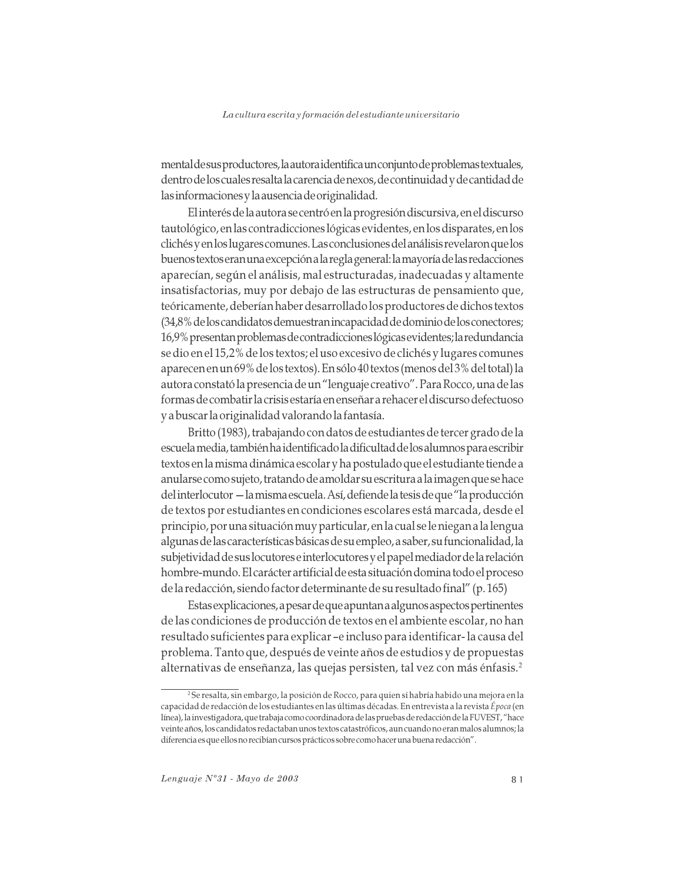mental de sus productores, la autora identifica un conjunto de problemas textuales, dentro de los cuales resalta la carencia de nexos, de continuidad y de cantidad de las informaciones y la ausencia de originalidad.

El interés de la autora se centró en la progresión discursiva, en el discurso tautológico, en las contradicciones lógicas evidentes, en los disparates, en los clichés y en los lugares comunes. Las conclusiones del análisis revelaron que los buenos textos eran una excepción a la regla general: la mayoría de las redacciones aparecían, según el análisis, mal estructuradas, inadecuadas y altamente insatisfactorias, muy por debajo de las estructuras de pensamiento que, teóricamente, deberían haber desarrollado los productores de dichos textos (34,8% de los candidatos demuestran incapacidad de dominio de los conectores; 16,9% presentan problemas de contradicciones lógicas evidentes; la redundancia se dio en el 15,2% de los textos; el uso excesivo de clichés y lugares comunes aparecen en un 69% de los textos). En sólo 40 textos (menos del 3% del total) la autora constató la presencia de un "lenguaje creativo". Para Rocco, una de las formas de combatir la crisis estaría en enseñar a rehacer el discurso defectuoso y a buscar la originalidad valorando la fantasía.

Britto (1983), trabajando con datos de estudiantes de tercer grado de la escuela media, también ha identificado la dificultad de los alumnos para escribir textos en la misma dinámica escolar y ha postulado que el estudiante tiende a anularse como sujeto, tratando de amoldar su escritura a la imagen que se hace del interlocutor — la misma escuela. Así, defiende la tesis de que "la producción de textos por estudiantes en condiciones escolares está marcada, desde el principio, por una situación muy particular, en la cual se le niegan a la lengua algunas de las características básicas de su empleo, a saber, su funcionalidad, la subjetividad de sus locutores e interlocutores y el papel mediador de la relación hombre-mundo. El carácter artificial de esta situación domina todo el proceso de la redacción, siendo factor determinante de su resultado final" (p. 165)

Estas explicaciones, a pesar de que apuntan a algunos aspectos pertinentes de las condiciones de producción de textos en el ambiente escolar, no han resultado suficientes para explicar -e incluso para identificar-la causa del problema. Tanto que, después de veinte años de estudios y de propuestas alternativas de enseñanza, las quejas persisten, tal vez con más énfasis.<sup>2</sup>

<sup>&</sup>lt;sup>2</sup> Se resalta, sin embargo, la posición de Rocco, para quien sí habría habido una mejora en la capacidad de redacción de los estudiantes en las últimas décadas. En entrevista a la revista Época (en línea), la investigadora, que trabaja como coordinadora de las pruebas de redacción de la FUVEST, "hace veinte años, los candidatos redactaban unos textos catastróficos, aun cuando no eran malos alumnos; la diferencia es que ellos no recibían cursos prácticos sobre como hacer una buena redacción".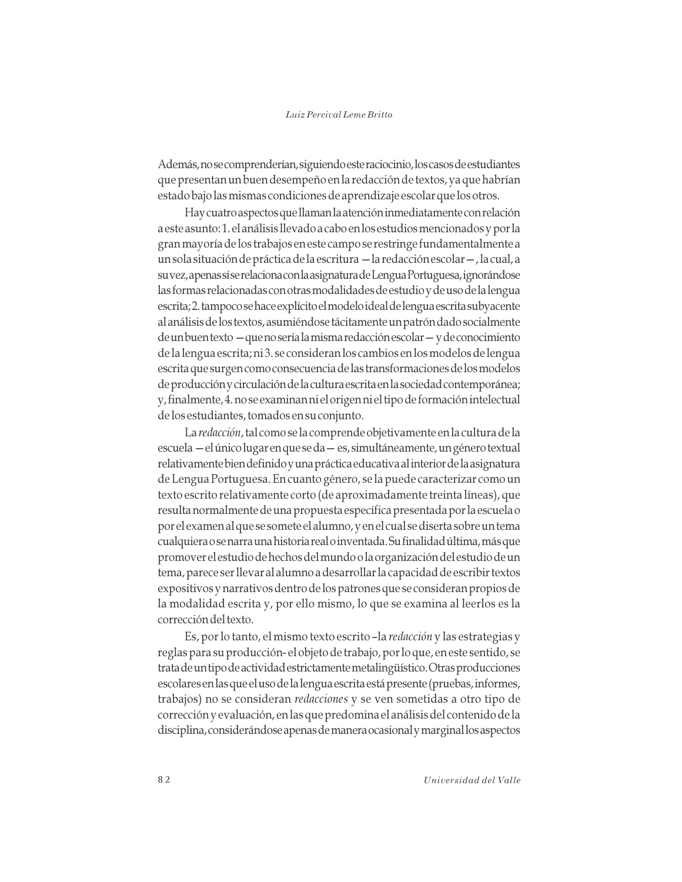Además, no se comprenderían, siguiendo este raciocinio, los casos de estudiantes que presentan un buen desempeño en la redacción de textos, ya que habrían estado bajo las mismas condiciones de aprendizaje escolar que los otros.

Hay cuatro aspectos que llaman la atención inmediatamente con relación a este asunto: 1. el análisis llevado a cabo en los estudios mencionados y por la gran mayoría de los trabajos en este campo se restringe fundamentalmente a un sola situación de práctica de la escritura - la redacción escolar -, la cual, a su vez, apenas sí se relaciona con la asignatura de Lengua Portuguesa, ignorándose las formas relacionadas con otras modalidades de estudio y de uso de la lengua escrita; 2. tampoco se hace explícito el modelo ideal de lengua escrita subyacente al análisis de los textos, asumiéndose tácitamente un patrón dado socialmente de un buen texto — que no sería la misma redacción escolar — y de conocimiento de la lengua escrita; ni 3. se consideran los cambios en los modelos de lengua escrita que surgen como consecuencia de las transformaciones de los modelos de producción y circulación de la cultura escrita en la sociedad contemporánea; y, finalmente, 4. no se examinan ni el origen ni el tipo de formación intelectual de los estudiantes, tomados en su conjunto.

La redacción, tal como se la comprende objetivamente en la cultura de la escuela - el único lugar en que se da - es, simultáneamente, un género textual relativamente bien definido y una práctica educativa al interior de la asignatura de Lengua Portuguesa. En cuanto género, se la puede caracterizar como un texto escrito relativamente corto (de aproximadamente treinta líneas), que resulta normalmente de una propuesta específica presentada por la escuela o por el examen al que se somete el alumno, y en el cual se diserta sobre un tema cualquiera o se narra una historia real o inventada. Su finalidad última, más que promover el estudio de hechos del mundo o la organización del estudio de un tema, parece ser llevar al alumno a desarrollar la capacidad de escribir textos expositivos y narrativos dentro de los patrones que se consideran propios de la modalidad escrita y, por ello mismo, lo que se examina al leerlos es la corrección del texto.

Es, por lo tanto, el mismo texto escrito -la redacción y las estrategias y reglas para su producción-el objeto de trabajo, por lo que, en este sentido, se trata de un tipo de actividad estrictamente metalingüístico. Otras producciones escolares en las que el uso de la lengua escrita está presente (pruebas, informes, trabajos) no se consideran redacciones y se ven sometidas a otro tipo de corrección y evaluación, en las que predomina el análisis del contenido de la disciplina, considerándose apenas de manera ocasional y marginal los aspectos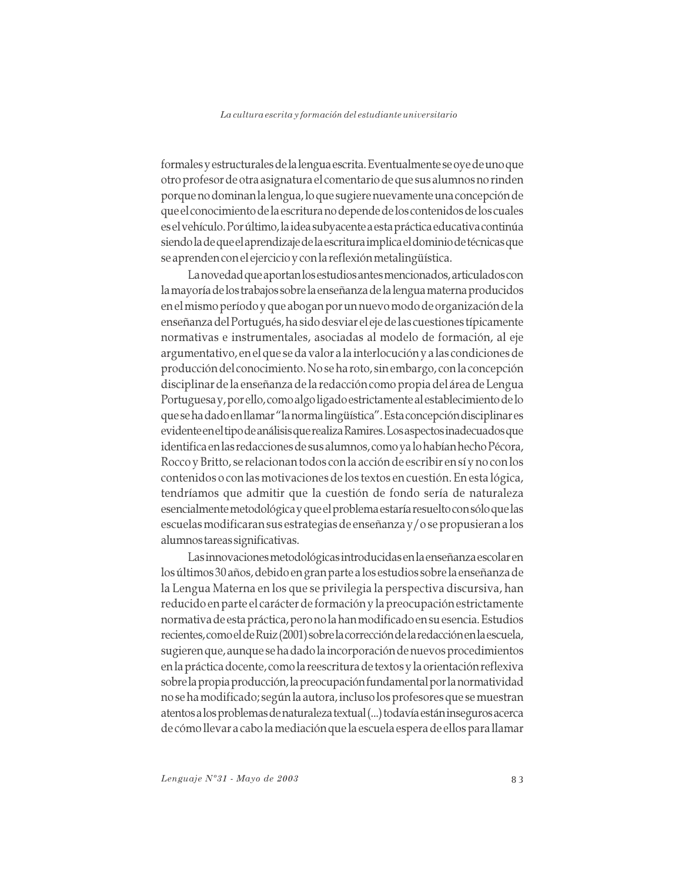formales y estructurales de la lengua escrita. Eventualmente se oye de uno que otro profesor de otra asignatura el comentario de que sus alumnos no rinden porque no dominan la lengua, lo que sugiere nuevamente una concepción de que el conocimiento de la escritura no depende de los contenidos de los cuales es el vehículo. Por último, la idea subyacente a esta práctica educativa continúa siendo la de que el aprendizaje de la escritura implica el dominio de técnicas que se aprenden con el ejercicio y con la reflexión metalingüística.

La novedad que aportan los estudios antes mencionados, articulados con la mayoría de los trabajos sobre la enseñanza de la lengua materna producidos en el mismo período y que abogan por un nuevo modo de organización de la enseñanza del Portugués, ha sido desviar el eje de las cuestiones típicamente normativas e instrumentales, asociadas al modelo de formación, al eje argumentativo, en el que se da valor a la interlocución y a las condiciones de producción del conocimiento. No se ha roto, sin embargo, con la concepción disciplinar de la enseñanza de la redacción como propia del área de Lengua Portuguesa y, por ello, como algo ligado estrictamente al establecimiento de lo que se ha dado en llamar "la norma lingüística". Esta concepción disciplinar es evidente en el tipo de análisis que realiza Ramires. Los aspectos inadecuados que identifica en las redacciones de sus alumnos, como ya lo habían hecho Pécora, Rocco y Britto, se relacionan todos con la acción de escribir en sí y no con los contenidos o con las motivaciones de los textos en cuestión. En esta lógica, tendríamos que admitir que la cuestión de fondo sería de naturaleza esencialmente metodológica y que el problema estaría resuelto con sólo que las escuelas modificaran sus estrategias de enseñanza y/o se propusieran a los alumnos tareas significativas.

Las innovaciones metodológicas introducidas en la enseñanza escolar en los últimos 30 años, debido en gran parte a los estudios sobre la enseñanza de la Lengua Materna en los que se privilegia la perspectiva discursiva, han reducido en parte el carácter de formación y la preocupación estrictamente normativa de esta práctica, pero no la han modificado en su esencia. Estudios recientes, como el de Ruiz (2001) sobre la corrección de la redacción en la escuela, sugieren que, aunque se ha dado la incorporación de nuevos procedimientos en la práctica docente, como la reescritura de textos y la orientación reflexiva sobre la propia producción, la preocupación fundamental por la normatividad no se ha modificado; según la autora, incluso los profesores que se muestran atentos a los problemas de naturaleza textual (...) todavía están inseguros acerca de cómo llevar a cabo la mediación que la escuela espera de ellos para llamar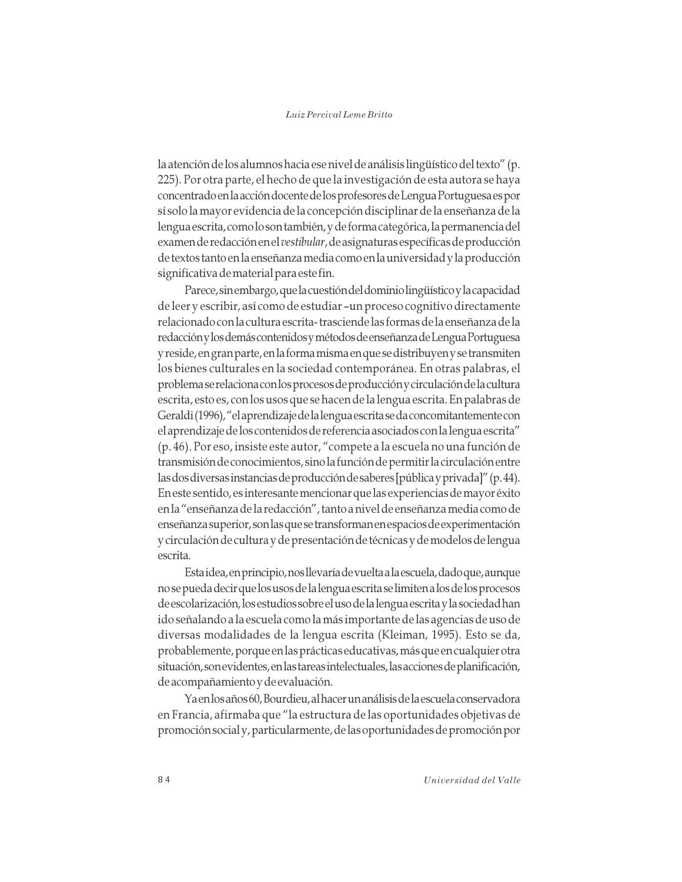la atención de los alumnos hacia ese nivel de análisis lingüístico del texto" (p. 225). Por otra parte, el hecho de que la investigación de esta autora se haya concentrado en la acción docente de los profesores de Lengua Portuguesa es por sí solo la mayor evidencia de la concepción disciplinar de la enseñanza de la lengua escrita, como lo son también, y de forma categórica, la permanencia del examen de redacción en el vestibular, de asignaturas específicas de producción de textos tanto en la enseñanza media como en la universidad y la producción significativa de material para este fin.

Parece, sin embargo, que la cuestión del dominio lingüístico y la capacidad de leer y escribir, así como de estudiar - un proceso cognitivo directamente relacionado con la cultura escrita-trasciende las formas de la enseñanza de la redacción y los demás contenidos y métodos de enseñanza de Lengua Portuguesa y reside, en gran parte, en la forma misma en que se distribuyen y se transmiten los bienes culturales en la sociedad contemporánea. En otras palabras, el problema se relaciona con los procesos de producción y circulación de la cultura escrita, esto es, con los usos que se hacen de la lengua escrita. En palabras de Geraldi (1996), "el aprendizaje de la lengua escrita se da concomitantemente con el aprendizaje de los contenidos de referencia asociados con la lengua escrita" (p. 46). Por eso, insiste este autor, "compete a la escuela no una función de transmisión de conocimientos, sino la función de permitir la circulación entre las dos diversas instancias de producción de saberes [pública y privada]" (p.44). En este sentido, es interesante mencionar que las experiencias de mayor éxito en la "enseñanza de la redacción", tanto a nivel de enseñanza media como de enseñanza superior, son las que se transforman en espacios de experimentación y circulación de cultura y de presentación de técnicas y de modelos de lengua escrita.

Esta idea, en principio, nos llevaría de vuelta a la escuela, dado que, aunque no se pueda decir que los usos de la lengua escrita se limiten a los de los procesos de escolarización, los estudios sobre el uso de la lengua escrita y la sociedad han ido señalando a la escuela como la más importante de las agencias de uso de diversas modalidades de la lengua escrita (Kleiman, 1995). Esto se da, probablemente, porque en las prácticas educativas, más que en cualquier otra situación, son evidentes, en las tareas intelectuales, las acciones de planificación, de acompañamiento y de evaluación.

Ya en los años 60, Bourdieu, al hacer un análisis de la escuela conservadora en Francia, afirmaba que "la estructura de las oportunidades objetivas de promoción social y, particularmente, de las oportunidades de promoción por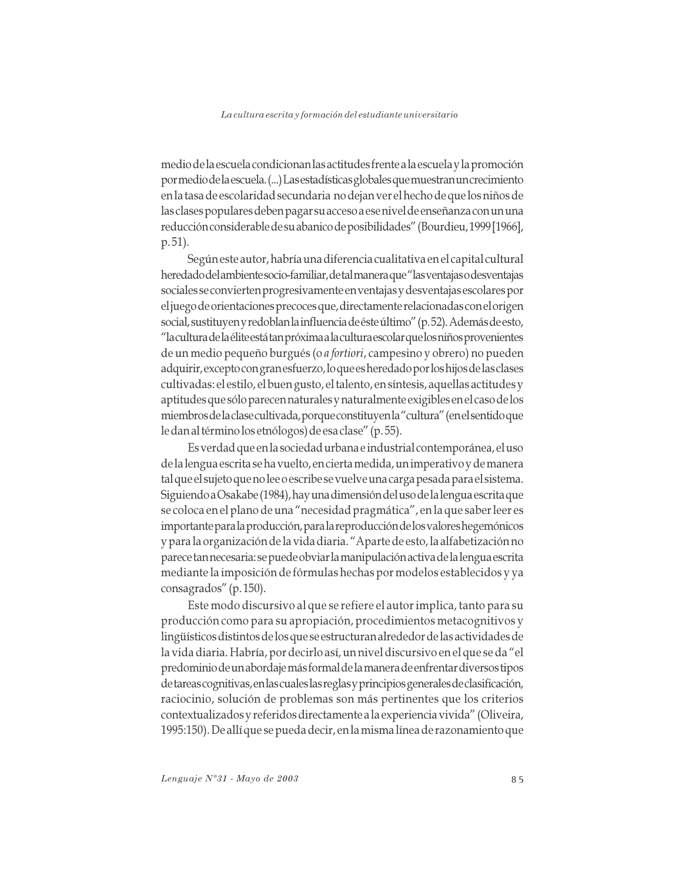medio de la escuela condicionan las actitudes frente a la escuela y la promoción por medio de la escuela. (...) Las estadísticas globales que muestran un crecimiento en la tasa de escolaridad secundaria no dejan ver el hecho de que los niños de las clases populares deben pagar su acceso a ese nivel de enseñanza con un una reducción considerable de su abanico de posibilidades" (Bourdieu, 1999 [1966], p. 51).

Según este autor, habría una diferencia cualitativa en el capital cultural heredado del ambiente socio-familiar, de tal manera que "las ventajas o desventajas sociales se convierten progresivamente en ventajas y desventajas escolares por el juego de orientaciones precoces que, directamente relacionadas con el origen social, sustituyen y redoblan la influencia de éste último" (p.52). Además de esto, "la cultura de la élite está tan próxima a la cultura escolar que los niños provenientes de un medio pequeño burgués (o *a fortiori*, campesino y obrero) no pueden adquirir, excepto con gran esfuerzo, lo que es heredado por los hijos de las clases cultivadas: el estilo, el buen gusto, el talento, en síntesis, aquellas actitudes y aptitudes que sólo parecen naturales y naturalmente exigibles en el caso de los miembros de la clase cultivada, porque constituyen la "cultura" (en el sentido que le dan al término los etnólogos) de esa clase" (p. 55).

Es verdad que en la sociedad urbana e industrial contemporánea, el uso de la lengua escrita se ha vuelto, en cierta medida, un imperativo y de manera tal que el sujeto que no lee o escribe se vuelve una carga pesada para el sistema. Siguiendo a Osakabe (1984), hay una dimensión del uso de la lengua escrita que se coloca en el plano de una "necesidad pragmática", en la que saber leer es importante para la producción, para la reproducción de los valores hegemónicos y para la organización de la vida diaria. "Aparte de esto, la alfabetización no parece tan necesaria: se puede obviar la manipulación activa de la lengua escrita mediante la imposición de fórmulas hechas por modelos establecidos y ya consagrados" (p. 150).

Este modo discursivo al que se refiere el autor implica, tanto para su producción como para su apropiación, procedimientos metacognitivos y lingüísticos distintos de los que se estructuran alrededor de las actividades de la vida diaria. Habría, por decirlo así, un nivel discursivo en el que se da "el predominio de un abordaje más formal de la manera de enfrentar diversos tipos de tareas cognitivas, en las cuales las reglas y principios generales de clasificación, raciocinio, solución de problemas son más pertinentes que los criterios contextualizados y referidos directamente a la experiencia vivida" (Oliveira, 1995:150). De allí que se pueda decir, en la misma línea de razonamiento que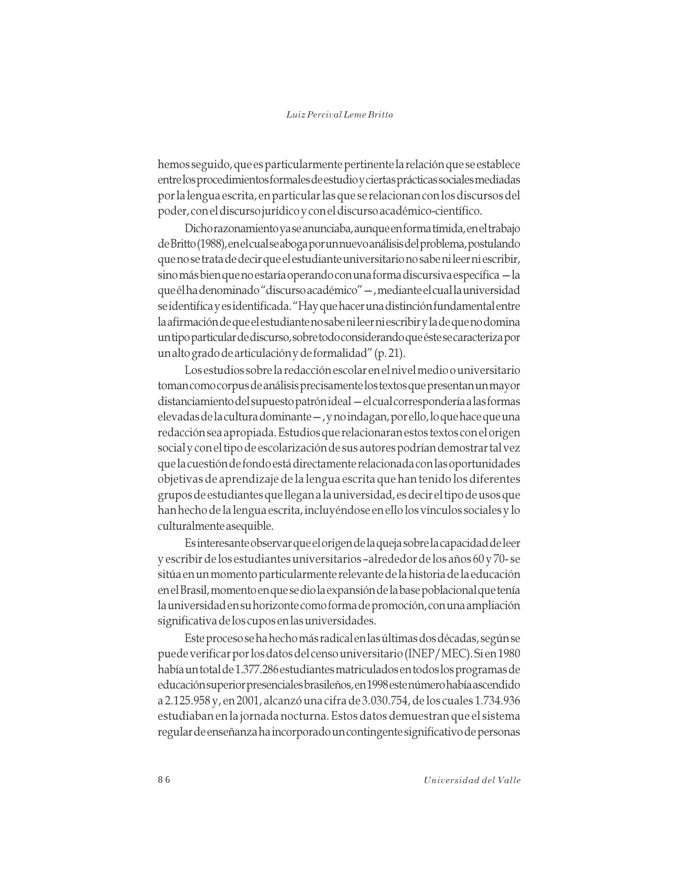hemos seguido, que es particularmente pertinente la relación que se establece entre los procedimientos formales de estudio y ciertas prácticas sociales mediadas por la lengua escrita, en particular las que se relacionan con los discursos del poder, con el discurso jurídico y con el discurso académico-científico.

Dicho razonamiento ya se anunciaba, aunque en forma tímida, en el trabajo de Britto (1988), en el cual se aboga por un nuevo análisis del problema, postulando que no se trata de decir que el estudiante universitario no sabe ni leer ni escribir, sino más bien que no estaría operando con una forma discursiva específica - la que él ha denominado "discurso académico" —, mediante el cual la universidad se identifica y es identificada. "Hay que hacer una distinción fundamental entre la afirmación de que el estudiante no sabe ni leer ni escribir y la de que no domina un tipo particular de discurso, sobre todo considerando que éste se caracteriza por un alto grado de articulación y de formalidad" (p. 21).

Los estudios sobre la redacción escolar en el nivel medio o universitario toman como corpus de análisis precisamente los textos que presentan un mayor distanciamiento del supuesto patrónideal — el cual correspondería a las formas elevadas de la cultura dominante -, y no indagan, por ello, lo que hace que una redacción sea apropiada. Estudios que relacionaran estos textos con el origen social y con el tipo de escolarización de sus autores podrían demostrar tal vez que la cuestión de fondo está directamente relacionada con las oportunidades objetivas de aprendizaje de la lengua escrita que han tenido los diferentes grupos de estudiantes que llegan a la universidad, es decir el tipo de usos que han hecho de la lengua escrita, incluyéndose en ello los vínculos sociales y lo culturalmente asequible.

Es interesante observar que el origen de la queja sobre la capacidad de leer y escribir de los estudiantes universitarios -alrededor de los años 60 y 70-se sitúa en un momento particularmente relevante de la historia de la educación en el Brasil, momento en que se dio la expansión de la base poblacional que tenía la universidad en su horizonte como forma de promoción, con una ampliación significativa de los cupos en las universidades.

Este proceso se ha hecho más radical en las últimas dos décadas, según se puede verificar por los datos del censo universitario (INEP/MEC). Si en 1980 había un total de 1.377.286 estudiantes matriculados en todos los programas de educación superior presenciales brasileños, en 1998 este número había ascendido a 2.125.958 y, en 2001, alcanzó una cifra de 3.030.754, de los cuales 1.734.936 estudiaban en la jornada nocturna. Estos datos demuestran que el sistema regular de enseñanza ha incorporado un contingente significativo de personas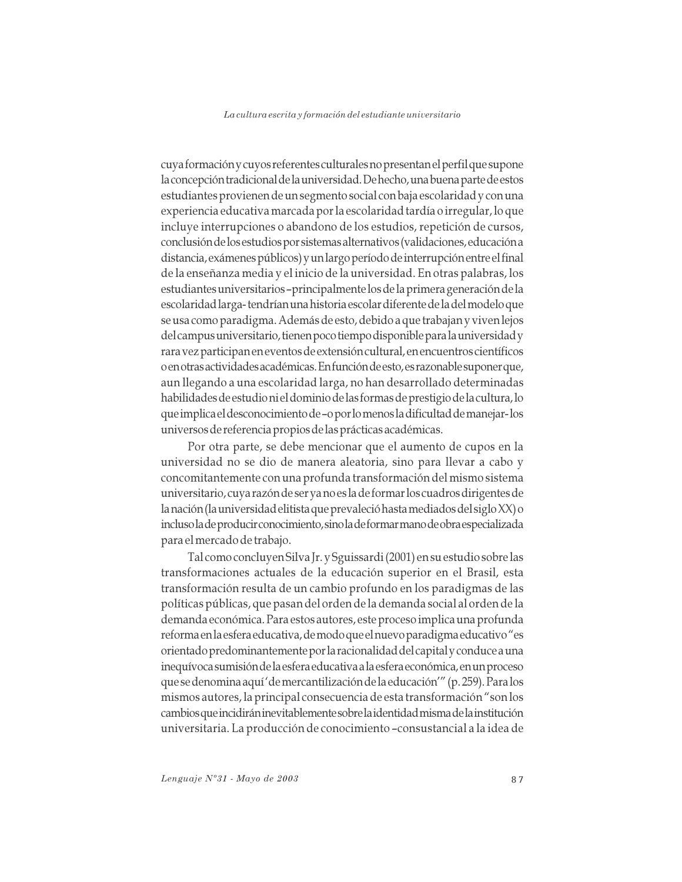cuya formación y cuyos referentes culturales no presentan el perfil que supone la concepción tradicional de la universidad. De hecho, una buena parte de estos estudiantes provienen de un segmento social con baja escolaridad y con una experiencia educativa marcada por la escolaridad tardía o irregular, lo que incluye interrupciones o abandono de los estudios, repetición de cursos, conclusión de los estudios por sistemas alternativos (validaciones, educación a distancia, exámenes públicos) y un largo período de interrupción entre el final de la enseñanza media y el inicio de la universidad. En otras palabras, los estudiantes universitarios -principalmente los de la primera generación de la escolaridad larga-tendrían una historia escolar diferente de la del modelo que se usa como paradigma. Además de esto, debido a que trabajan y viven lejos del campus universitario, tienen poco tiempo disponible para la universidad y rara vez participan en eventos de extensión cultural, en encuentros científicos o en otras actividades académicas. En función de esto, es razonable suponer que, aun llegando a una escolaridad larga, no han desarrollado determinadas habilidades de estudio ni el dominio de las formas de prestigio de la cultura, lo que implica el desconocimiento de –o por lo menos la dificultad de manejar-los universos de referencia propios de las prácticas académicas.

Por otra parte, se debe mencionar que el aumento de cupos en la universidad no se dio de manera aleatoria, sino para llevar a cabo y concomitantemente con una profunda transformación del mismo sistema universitario, cuya razón de ser ya no es la de formar los cuadros dirigentes de la nación (la universidad elitista que prevaleció hasta mediados del siglo XX) o incluso la de producir conocimiento, sino la de formar mano de obra especializada para el mercado de trabajo.

Tal como concluyen Silva Jr. y Sguissardi (2001) en su estudio sobre las transformaciones actuales de la educación superior en el Brasil, esta transformación resulta de un cambio profundo en los paradigmas de las políticas públicas, que pasan del orden de la demanda social al orden de la demanda económica. Para estos autores, este proceso implica una profunda reforma en la esfera educativa, de modo que el nuevo paradigma educativo "es orientado predominantemente por la racionalidad del capital y conduce a una inequívoca sumisión de la esfera educativa a la esfera económica, en un proceso que se denomina aquí 'de mercantilización de la educación'" (p. 259). Para los mismos autores, la principal consecuencia de esta transformación "son los cambios que incidirán inevitablemente sobre la identidad misma de la institución universitaria. La producción de conocimiento -consustancial a la idea de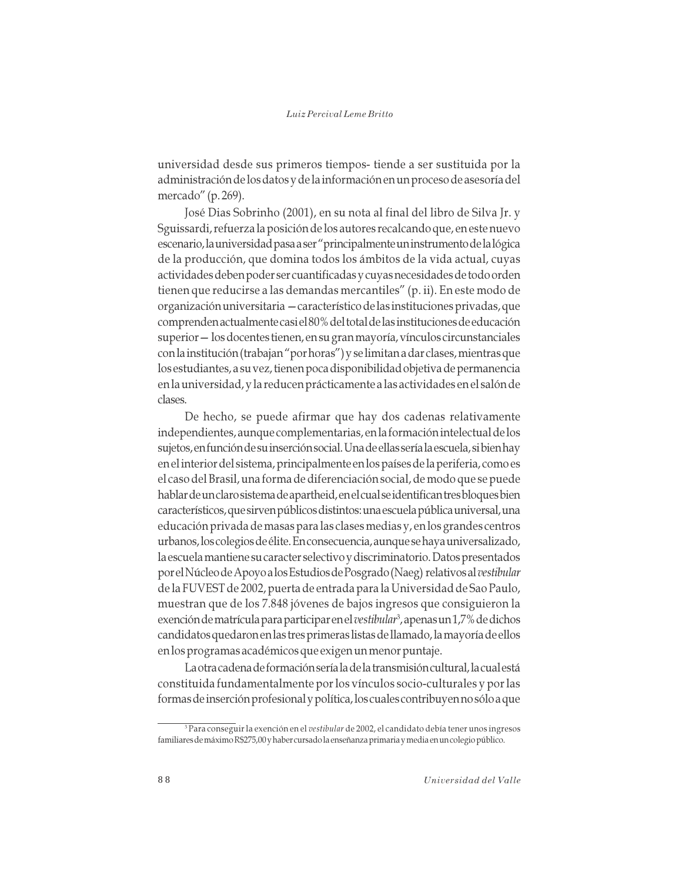universidad desde sus primeros tiempos- tiende a ser sustituida por la administración de los datos y de la información en un proceso de asesoría del mercado" (p. 269).

José Dias Sobrinho (2001), en su nota al final del libro de Silva Jr. y Sguissardi, refuerza la posición de los autores recalcando que, en este nuevo escenario, la universidad pasa a ser "principalmente un instrumento de la lógica de la producción, que domina todos los ámbitos de la vida actual, cuyas actividades deben poder ser cuantificadas y cuyas necesidades de todo orden tienen que reducirse a las demandas mercantiles" (p. ii). En este modo de organización universitaria - característico de las instituciones privadas, que comprenden actualmente casi el 80% del total de las instituciones de educación superior - los docentes tienen, en su gran mayoría, vínculos circunstanciales con la institución (trabajan "por horas") y se limitan a dar clases, mientras que los estudiantes, a su vez, tienen poca disponibilidad objetiva de permanencia en la universidad, y la reducen prácticamente a las actividades en el salón de clases.

De hecho, se puede afirmar que hay dos cadenas relativamente independientes, aunque complementarias, en la formación intelectual de los sujetos, en función de su inserción social. Una de ellas sería la escuela, si bien hay en el interior del sistema, principalmente en los países de la periferia, como es el caso del Brasil, una forma de diferenciación social, de modo que se puede hablar de un claro sistema de apartheid, en el cual se identifican tres bloques bien característicos, que sirven públicos distintos: una escuela pública universal, una educación privada de masas para las clases medias y, en los grandes centros urbanos, los colegios de élite. En consecuencia, aunque se haya universalizado, la escuela mantiene su caracter selectivo y discriminatorio. Datos presentados por el Núcleo de Apoyo a los Estudios de Posgrado (Naeg) relativos al vestibular de la FUVEST de 2002, puerta de entrada para la Universidad de Sao Paulo, muestran que de los 7.848 jóvenes de bajos ingresos que consiguieron la exención de matrícula para participar en el vestibular<sup>3</sup>, apenas un 1,7% de dichos candidatos quedaron en las tres primeras listas de llamado, la mayoría de ellos en los programas académicos que exigen un menor puntaje.

La otra cadena de formación sería la de la transmisión cultural, la cual está constituida fundamentalmente por los vínculos socio-culturales y por las formas de inserción profesional y política, los cuales contribuyen no sólo a que

Para conseguir la exención en el vestibular de 2002, el candidato debía tener unos ingresos familiares de máximo R\$275,00 y haber cursado la enseñanza primaria y media en un colegio público.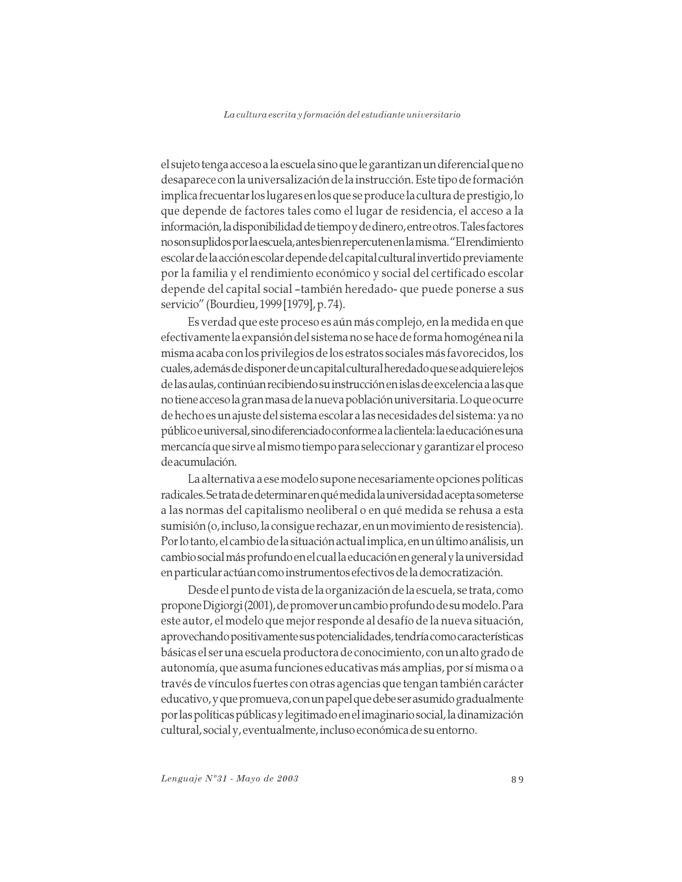el sujeto tenga acceso a la escuela sino que le garantizan un diferencial que no desaparece con la universalización de la instrucción. Este tipo de formación implica frecuentar los lugares en los que se produce la cultura de prestigio, lo que depende de factores tales como el lugar de residencia, el acceso a la información, la disponibilidad de tiempo y de dinero, entre otros. Tales factores no son suplidos por la escuela, antes bien repercuten en la misma. "El rendimiento escolar de la acción escolar depende del capital cultural invertido previamente por la familia y el rendimiento económico y social del certificado escolar depende del capital social -también heredado- que puede ponerse a sus servicio" (Bourdieu, 1999 [1979], p. 74).

Es verdad que este proceso es aún más complejo, en la medida en que efectivamente la expansión del sistema no se hace de forma homogénea ni la misma acaba con los privilegios de los estratos sociales más favorecidos, los cuales, además de disponer de un capital cultural heredado que se adquiere lejos de las aulas, continúan recibiendo su instrucción en islas de excelencia a las que no tiene acceso la gran masa de la nueva población universitaria. Lo que ocurre de hecho es un ajuste del sistema escolar a las necesidades del sistema: ya no público e universal, sino diferenciado conforme a la clientela: la educación es una mercancía que sirve al mismo tiempo para seleccionar y garantizar el proceso de acumulación.

La alternativa a ese modelo supone necesariamente opciones políticas radicales. Se trata de determinar en qué medida la universidad acepta someterse a las normas del capitalismo neoliberal o en qué medida se rehusa a esta sumisión (o, incluso, la consigue rechazar, en un movimiento de resistencia). Por lo tanto, el cambio de la situación actual implica, en un último análisis, un cambio social más profundo en el cual la educación en general y la universidad en particular actúan como instrumentos efectivos de la democratización.

Desde el punto de vista de la organización de la escuela, se trata, como propone Digiorgi (2001), de promover un cambio profundo de su modelo. Para este autor, el modelo que mejor responde al desafío de la nueva situación, aprovechando positivamente sus potencialidades, tendría como características básicas el ser una escuela productora de conocimiento, con un alto grado de autonomía, que asuma funciones educativas más amplias, por sí misma o a través de vínculos fuertes con otras agencias que tengan también carácter educativo, y que promueva, con un papel que debe ser asumido gradualmente por las políticas públicas y legitimado en el imaginario social, la dinamización cultural, social y, eventualmente, incluso económica de su entorno.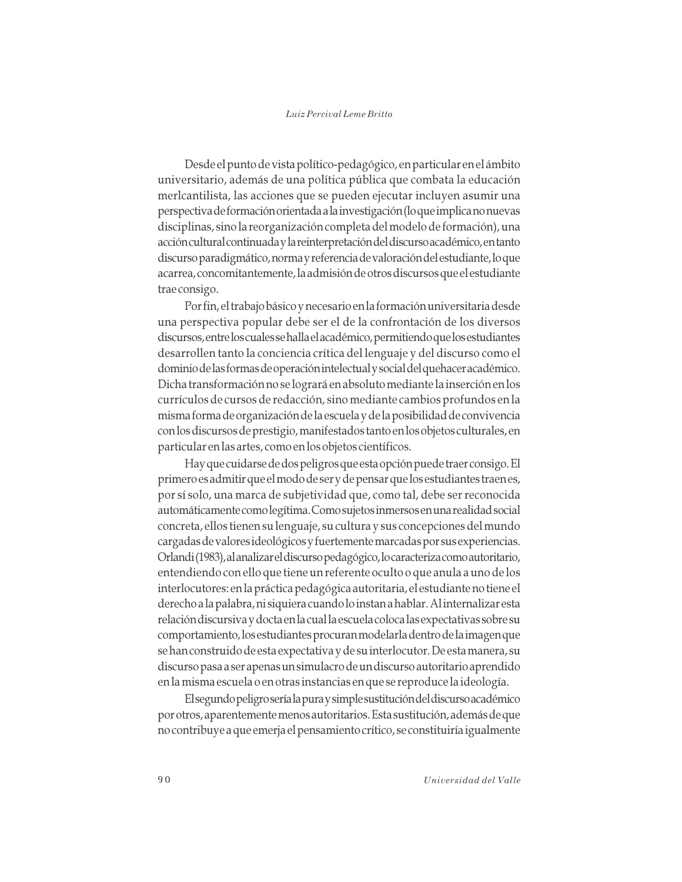Desde el punto de vista político-pedagógico, en particular en el ámbito universitario, además de una política pública que combata la educación merlcantilista, las acciones que se pueden ejecutar incluyen asumir una perspectiva de formación orientada a la investigación (lo que implica no nuevas disciplinas, sino la reorganización completa del modelo de formación), una acción cultural continuada y la reinterpretación del discurso académico, en tanto discurso paradigmático, norma y referencia de valoración del estudiante, lo que acarrea, concomitantemente, la admisión de otros discursos que el estudiante trae consigo.

Por fin, el trabajo básico y necesario en la formación universitaria desde una perspectiva popular debe ser el de la confrontación de los diversos discursos, entre los cuales se halla el académico, permitiendo que los estudiantes desarrollen tanto la conciencia crítica del lenguaje y del discurso como el dominio de las formas de operación intelectual y social del quehacer académico. Dicha transformación no se logrará en absoluto mediante la inserción en los currículos de cursos de redacción, sino mediante cambios profundos en la misma forma de organización de la escuela y de la posibilidad de convivencia con los discursos de prestigio, manifestados tanto en los objetos culturales, en particular en las artes, como en los objetos científicos.

Hay que cuidarse de dos peligros que esta opción puede traer consigo. El primero es admitir que el modo de ser y de pensar que los estudiantes traen es, por sí solo, una marca de subjetividad que, como tal, debe ser reconocida automáticamente como legítima. Como sujetos inmersos en una realidad social concreta, ellos tienen su lenguaje, su cultura y sus concepciones del mundo cargadas de valores ideológicos y fuertemente marcadas por sus experiencias. Orlandi (1983), al analizar el discurso pedagógico, lo caracteriza como autoritario, entendiendo con ello que tiene un referente oculto o que anula a uno de los interlocutores: en la práctica pedagógica autoritaria, el estudiante no tiene el derecho a la palabra, ni siquiera cuando lo instan a hablar. Al internalizar esta relación discursiva y docta en la cual la escuela coloca las expectativas sobre su comportamiento, los estudiantes procuran modelarla dentro de la imagen que se han construido de esta expectativa y de su interlocutor. De esta manera, su discurso pasa a ser apenas un simulacro de un discurso autoritario aprendido en la misma escuela o en otras instancias en que se reproduce la ideología.

El segundo peligro sería la pura y simple sustitución del discurso académico por otros, aparentemente menos autoritarios. Esta sustitución, además de que no contribuye a que emerja el pensamiento crítico, se constituiría igualmente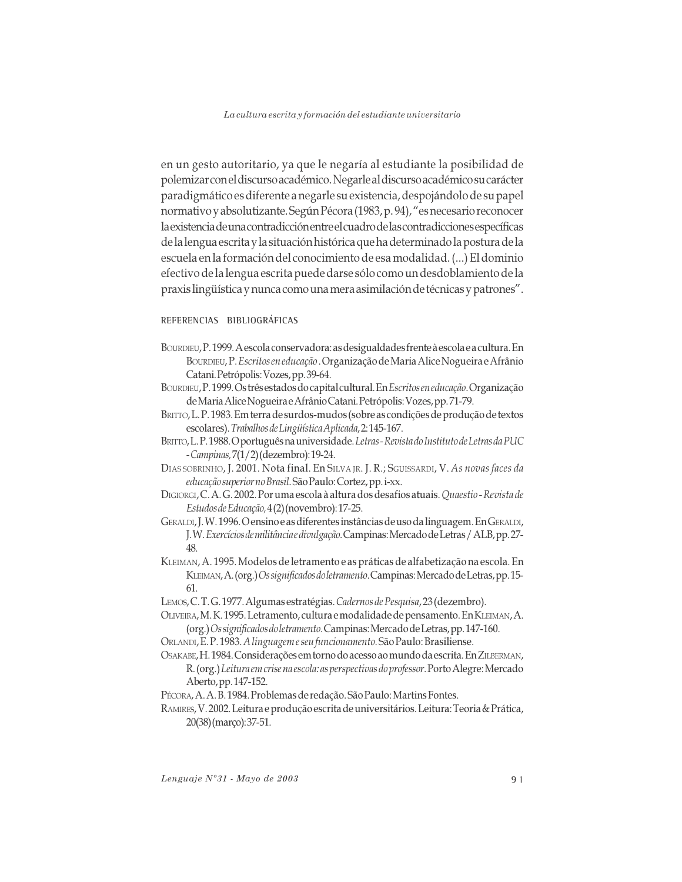en un gesto autoritario, ya que le negaría al estudiante la posibilidad de polemizar con el discurso académico. Negarle al discurso académico su carácter paradigmático es diferente a negarle su existencia, despojándolo de su papel normativo y absolutizante. Según Pécora (1983, p. 94), "es necesario reconocer la existencia de una contradicción entre el cuadro de las contradicciones específicas de la lengua escrita y la situación histórica que ha determinado la postura de la escuela en la formación del conocimiento de esa modalidad. (...) El dominio efectivo de la lengua escrita puede darse sólo como un desdoblamiento de la praxis lingüística y nunca como una mera asimilación de técnicas y patrones".

## REFERENCIAS BIBLIOGRÁFICAS

- BOURDIEU, P. 1999. A escola conservadora: as desigualdades frente à escola e a cultura. En BOURDIEU, P. Escritos en educação . Organização de Maria Alice Nogueira e Afrânio Catani. Petrópolis: Vozes, pp. 39-64.
- BOURDIEU, P. 1999. Os três estados do capital cultural. En *Escritos en educação*. Organização de Maria Alice Nogueira e Afrânio Catani. Petrópolis: Vozes, pp. 71-79.
- BRITTO, L.P. 1983. Em terra de surdos-mudos (sobre as condições de produção de textos escolares). Trabalhos de Lingüística Aplicada, 2:145-167.
- BRITTO, L.P. 1988. O português na universidade. Letras Revista do Instituto de Letras da PUC - Campinas, 7(1/2) (dezembro): 19-24.
- DIAS SOBRINHO, J. 2001. Nota final. En SILVA JR. J. R.; SGUISSARDI, V. As novas faces da educação superior no Brasil. São Paulo: Cortez, pp. i-xx.
- DIGIORGI, C. A. G. 2002. Por uma escola à altura dos desafios atuais. Quaestio-Revista de Estudos de Educação, 4(2) (novembro): 17-25.
- GERALDI, J.W. 1996. O ensino e as diferentes instâncias de uso da linguagem. En GERALDI, J.W. Exercícios de militância e divulgação. Campinas: Mercado de Letras / ALB, pp. 27-48.
- KLEIMAN, A. 1995. Modelos de letramento e as práticas de alfabetização na escola. En KLEIMAN, A. (org.) Os significados do letramento. Campinas: Mercado de Letras, pp. 15-61.
- LEMOS, C.T.G. 1977. Algumas estratégias. Cadernos de Pesquisa, 23 (dezembro).
- OLIVEIRA, M. K. 1995. Letramento, cultura e modalidade de pensamento. En KLEIMAN, A. (org.) Os significados do letramento. Campinas: Mercado de Letras, pp. 147-160.
- ORLANDI, E.P. 1983. A linguageme seu funcionamento. São Paulo: Brasiliense.
- OSAKABE, H. 1984. Considerações em torno do acesso ao mundo da escrita. En ZILBERMAN, R. (org.) Leitura em crise na escola: as perspectivas do professor. Porto Alegre: Mercado Aberto, pp. 147-152.
- Pécora, A. A. B. 1984. Problemas de redação. São Paulo: Martins Fontes.
- RAMIRES, V. 2002. Leitura e produção escrita de universitários. Leitura: Teoria & Prática, 20(38) (março): 37-51.

Lenguaje Nº31 - Mayo de 2003